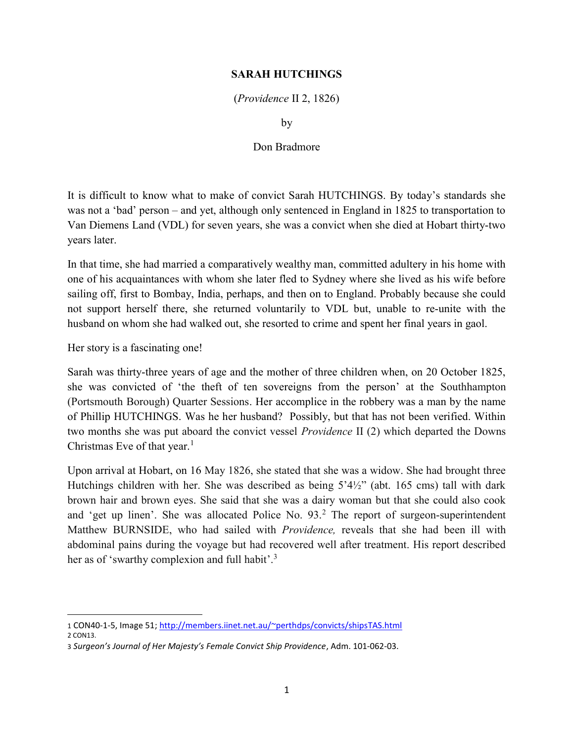## SARAH HUTCHINGS

(Providence II 2, 1826)

by

## Don Bradmore

It is difficult to know what to make of convict Sarah HUTCHINGS. By today's standards she was not a 'bad' person – and yet, although only sentenced in England in 1825 to transportation to Van Diemens Land (VDL) for seven years, she was a convict when she died at Hobart thirty-two years later.

In that time, she had married a comparatively wealthy man, committed adultery in his home with one of his acquaintances with whom she later fled to Sydney where she lived as his wife before sailing off, first to Bombay, India, perhaps, and then on to England. Probably because she could not support herself there, she returned voluntarily to VDL but, unable to re-unite with the husband on whom she had walked out, she resorted to crime and spent her final years in gaol.

Her story is a fascinating one!

Sarah was thirty-three years of age and the mother of three children when, on 20 October 1825, she was convicted of 'the theft of ten sovereigns from the person' at the Southhampton (Portsmouth Borough) Quarter Sessions. Her accomplice in the robbery was a man by the name of Phillip HUTCHINGS. Was he her husband? Possibly, but that has not been verified. Within two months she was put aboard the convict vessel Providence II (2) which departed the Downs Christmas Eve of that year. $<sup>1</sup>$ </sup>

Upon arrival at Hobart, on 16 May 1826, she stated that she was a widow. She had brought three Hutchings children with her. She was described as being 5'4½" (abt. 165 cms) tall with dark brown hair and brown eyes. She said that she was a dairy woman but that she could also cook and 'get up linen'. She was allocated Police No. 93.<sup>2</sup> The report of surgeon-superintendent Matthew BURNSIDE, who had sailed with Providence, reveals that she had been ill with abdominal pains during the voyage but had recovered well after treatment. His report described her as of 'swarthy complexion and full habit'.<sup>3</sup>

<sup>1</sup> CON40-1-5, Image 51; http://members.iinet.net.au/~perthdps/convicts/shipsTAS.html

<sup>2</sup> CON13.

<sup>3</sup> Surgeon's Journal of Her Majesty's Female Convict Ship Providence, Adm. 101-062-03.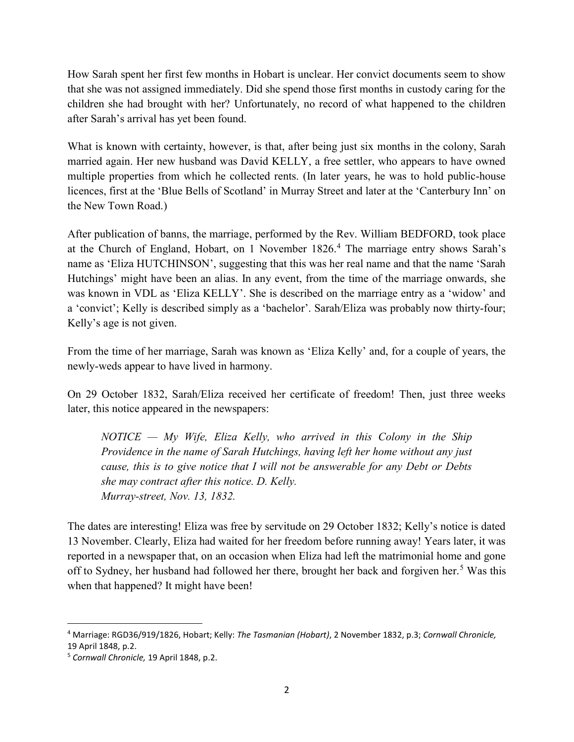How Sarah spent her first few months in Hobart is unclear. Her convict documents seem to show that she was not assigned immediately. Did she spend those first months in custody caring for the children she had brought with her? Unfortunately, no record of what happened to the children after Sarah's arrival has yet been found.

What is known with certainty, however, is that, after being just six months in the colony, Sarah married again. Her new husband was David KELLY, a free settler, who appears to have owned multiple properties from which he collected rents. (In later years, he was to hold public-house licences, first at the 'Blue Bells of Scotland' in Murray Street and later at the 'Canterbury Inn' on the New Town Road.)

After publication of banns, the marriage, performed by the Rev. William BEDFORD, took place at the Church of England, Hobart, on 1 November 1826.<sup>4</sup> The marriage entry shows Sarah's name as 'Eliza HUTCHINSON', suggesting that this was her real name and that the name 'Sarah Hutchings' might have been an alias. In any event, from the time of the marriage onwards, she was known in VDL as 'Eliza KELLY'. She is described on the marriage entry as a 'widow' and a 'convict'; Kelly is described simply as a 'bachelor'. Sarah/Eliza was probably now thirty-four; Kelly's age is not given.

From the time of her marriage, Sarah was known as 'Eliza Kelly' and, for a couple of years, the newly-weds appear to have lived in harmony.

On 29 October 1832, Sarah/Eliza received her certificate of freedom! Then, just three weeks later, this notice appeared in the newspapers:

 $NOTICE - My$  Wife, Eliza Kelly, who arrived in this Colony in the Ship Providence in the name of Sarah Hutchings, having left her home without any just cause, this is to give notice that I will not be answerable for any Debt or Debts she may contract after this notice. D. Kelly. Murray-street, Nov. 13, 1832.

The dates are interesting! Eliza was free by servitude on 29 October 1832; Kelly's notice is dated 13 November. Clearly, Eliza had waited for her freedom before running away! Years later, it was reported in a newspaper that, on an occasion when Eliza had left the matrimonial home and gone off to Sydney, her husband had followed her there, brought her back and forgiven her.<sup>5</sup> Was this when that happened? It might have been!

<sup>&</sup>lt;sup>4</sup> Marriage: RGD36/919/1826, Hobart; Kelly: The Tasmanian (Hobart), 2 November 1832, p.3; Cornwall Chronicle, 19 April 1848, p.2.

<sup>5</sup> Cornwall Chronicle, 19 April 1848, p.2.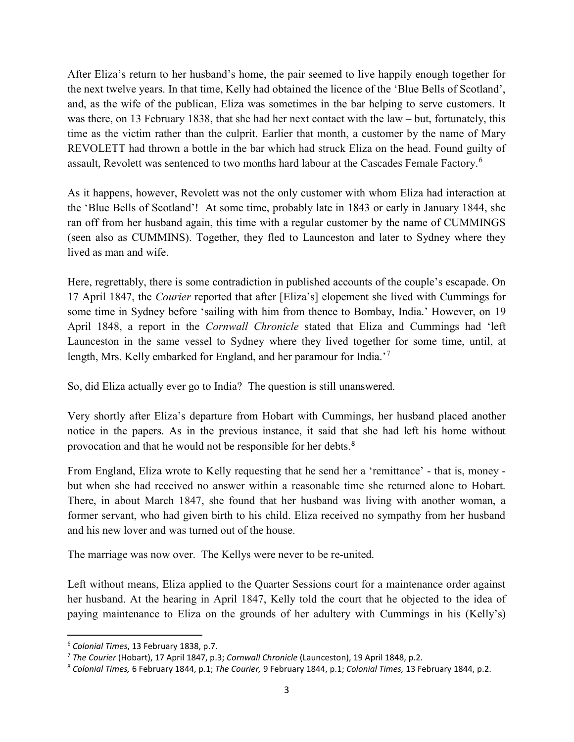After Eliza's return to her husband's home, the pair seemed to live happily enough together for the next twelve years. In that time, Kelly had obtained the licence of the 'Blue Bells of Scotland', and, as the wife of the publican, Eliza was sometimes in the bar helping to serve customers. It was there, on 13 February 1838, that she had her next contact with the law – but, fortunately, this time as the victim rather than the culprit. Earlier that month, a customer by the name of Mary REVOLETT had thrown a bottle in the bar which had struck Eliza on the head. Found guilty of assault, Revolett was sentenced to two months hard labour at the Cascades Female Factory.<sup>6</sup>

As it happens, however, Revolett was not the only customer with whom Eliza had interaction at the 'Blue Bells of Scotland'! At some time, probably late in 1843 or early in January 1844, she ran off from her husband again, this time with a regular customer by the name of CUMMINGS (seen also as CUMMINS). Together, they fled to Launceston and later to Sydney where they lived as man and wife.

Here, regrettably, there is some contradiction in published accounts of the couple's escapade. On 17 April 1847, the Courier reported that after [Eliza's] elopement she lived with Cummings for some time in Sydney before 'sailing with him from thence to Bombay, India.' However, on 19 April 1848, a report in the Cornwall Chronicle stated that Eliza and Cummings had 'left Launceston in the same vessel to Sydney where they lived together for some time, until, at length, Mrs. Kelly embarked for England, and her paramour for India.<sup>'7</sup>

So, did Eliza actually ever go to India? The question is still unanswered.

Very shortly after Eliza's departure from Hobart with Cummings, her husband placed another notice in the papers. As in the previous instance, it said that she had left his home without provocation and that he would not be responsible for her debts.<sup>8</sup>

From England, Eliza wrote to Kelly requesting that he send her a 'remittance' - that is, money but when she had received no answer within a reasonable time she returned alone to Hobart. There, in about March 1847, she found that her husband was living with another woman, a former servant, who had given birth to his child. Eliza received no sympathy from her husband and his new lover and was turned out of the house.

The marriage was now over. The Kellys were never to be re-united.

Left without means, Eliza applied to the Quarter Sessions court for a maintenance order against her husband. At the hearing in April 1847, Kelly told the court that he objected to the idea of paying maintenance to Eliza on the grounds of her adultery with Cummings in his (Kelly's)

<sup>6</sup> Colonial Times, 13 February 1838, p.7.

<sup>&</sup>lt;sup>7</sup> The Courier (Hobart), 17 April 1847, p.3; Cornwall Chronicle (Launceston), 19 April 1848, p.2.

<sup>&</sup>lt;sup>8</sup> Colonial Times, 6 February 1844, p.1; The Courier, 9 February 1844, p.1; Colonial Times, 13 February 1844, p.2.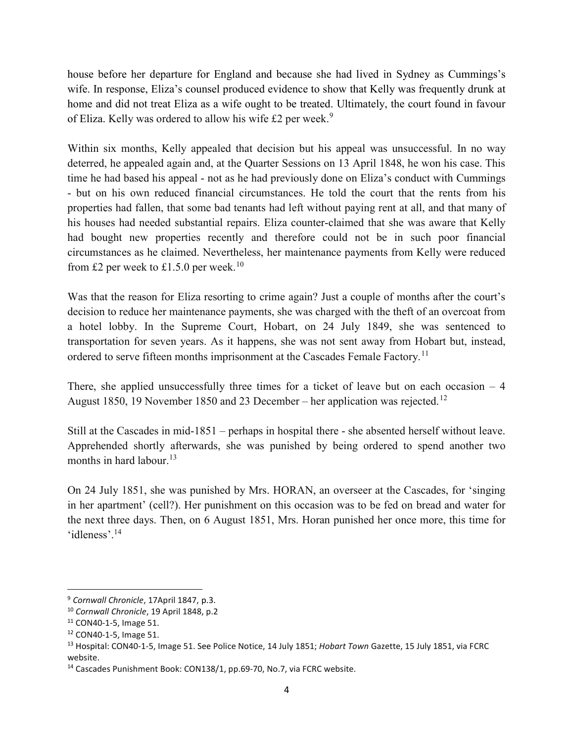house before her departure for England and because she had lived in Sydney as Cummings's wife. In response, Eliza's counsel produced evidence to show that Kelly was frequently drunk at home and did not treat Eliza as a wife ought to be treated. Ultimately, the court found in favour of Eliza. Kelly was ordered to allow his wife  $£2$  per week.<sup>9</sup>

Within six months, Kelly appealed that decision but his appeal was unsuccessful. In no way deterred, he appealed again and, at the Quarter Sessions on 13 April 1848, he won his case. This time he had based his appeal - not as he had previously done on Eliza's conduct with Cummings - but on his own reduced financial circumstances. He told the court that the rents from his properties had fallen, that some bad tenants had left without paying rent at all, and that many of his houses had needed substantial repairs. Eliza counter-claimed that she was aware that Kelly had bought new properties recently and therefore could not be in such poor financial circumstances as he claimed. Nevertheless, her maintenance payments from Kelly were reduced from £2 per week to £1.5.0 per week.<sup>10</sup>

Was that the reason for Eliza resorting to crime again? Just a couple of months after the court's decision to reduce her maintenance payments, she was charged with the theft of an overcoat from a hotel lobby. In the Supreme Court, Hobart, on 24 July 1849, she was sentenced to transportation for seven years. As it happens, she was not sent away from Hobart but, instead, ordered to serve fifteen months imprisonment at the Cascades Female Factory.<sup>11</sup>

There, she applied unsuccessfully three times for a ticket of leave but on each occasion  $-4$ August 1850, 19 November 1850 and 23 December – her application was rejected.<sup>12</sup>

Still at the Cascades in mid-1851 – perhaps in hospital there - she absented herself without leave. Apprehended shortly afterwards, she was punished by being ordered to spend another two months in hard labour.<sup>13</sup>

On 24 July 1851, she was punished by Mrs. HORAN, an overseer at the Cascades, for 'singing in her apartment' (cell?). Her punishment on this occasion was to be fed on bread and water for the next three days. Then, on 6 August 1851, Mrs. Horan punished her once more, this time for 'idleness'.<sup>14</sup>

 $\overline{a}$ 

<sup>&</sup>lt;sup>9</sup> Cornwall Chronicle, 17April 1847, p.3.

<sup>10</sup> Cornwall Chronicle, 19 April 1848, p.2

<sup>11</sup> CON40-1-5, Image 51.

<sup>12</sup> CON40-1-5, Image 51.

<sup>&</sup>lt;sup>13</sup> Hospital: CON40-1-5, Image 51. See Police Notice, 14 July 1851; Hobart Town Gazette, 15 July 1851, via FCRC website.

<sup>14</sup> Cascades Punishment Book: CON138/1, pp.69-70, No.7, via FCRC website.